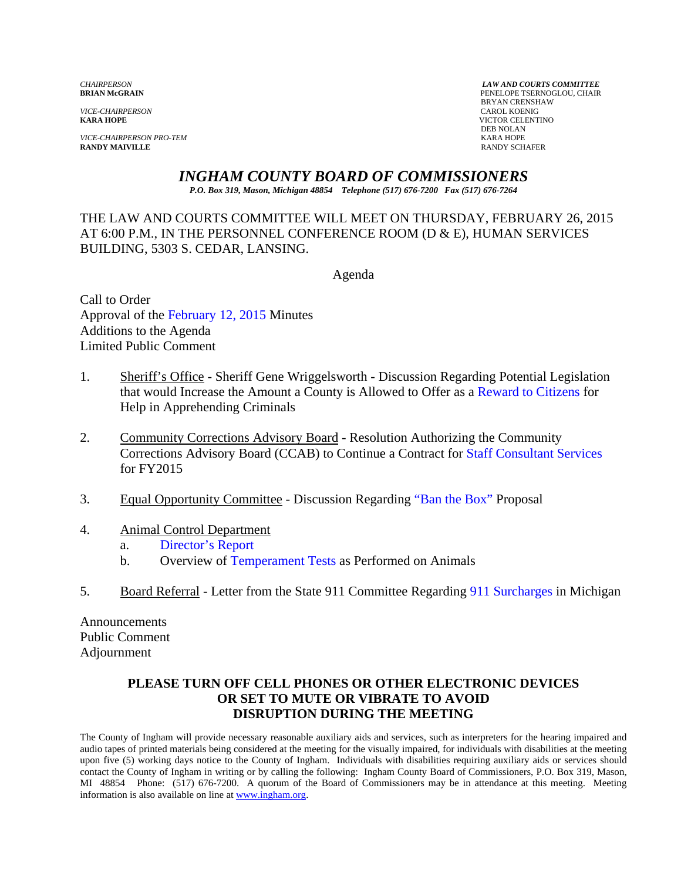*VICE-CHAIRPERSON*<br>**KARA HOPE** 

*VICE-CHAIRPERSON PRO-TEM* KARA HOPE **RANDY MAIVILLE** 

*CHAIRPERSON LAW AND COURTS COMMITTEE* PENELOPE TSERNOGLOU, CHAIR **BRYAN CRENSHAW**<br>CAROL KOENIG **KICTOR CELENTINO**<br>DEB NOLAN DEB NOLAN

*INGHAM COUNTY BOARD OF COMMISSIONERS* 

*P.O. Box 319, Mason, Michigan 48854 Telephone (517) 676-7200 Fax (517) 676-7264*

THE LAW AND COURTS COMMITTEE WILL MEET ON THURSDAY, FEBRUARY 26, 2015 AT 6:00 P.M., IN THE PERSONNEL CONFERENCE ROOM (D & E), HUMAN SERVICES BUILDING, 5303 S. CEDAR, LANSING.

Agenda

Call to Order Approval [of the February 12, 2015 Minutes](#page-1-0)  Additions to the Agenda Limited Public Comment

- 1. Sheriff's Office Sheriff Gene Wriggelsworth Discussion Regarding Potential Legislation that would Increase the Amount a County is Allowed to Offer a[s a Reward to Citizens for](#page-10-0)  Help in Apprehending Criminals
- 2. Community Corrections Advisory Board Resolution Authorizing the Community Corrections Advisory Board (CCAB) to Continue a Contract [for Staff Consultant Services](#page-12-0)  for FY2015
- 3. Equal Opportunity Committee Discussion Regardi[ng "Ban the Box" Proposal](#page-14-0)
- 4. Animal Control Department
	- a. [Director's Report](#page-16-0)
	- b. Overview o[f Temperament Tests as Performed o](#page-19-0)n Animals
- 5. Board Referral Letter from the State 911 Committee Regardi[ng 911 Surcharges in Mic](#page-22-0)higan

Announcements Public Comment Adjournment

#### **PLEASE TURN OFF CELL PHONES OR OTHER ELECTRONIC DEVICES OR SET TO MUTE OR VIBRATE TO AVOID DISRUPTION DURING THE MEETING**

The County of Ingham will provide necessary reasonable auxiliary aids and services, such as interpreters for the hearing impaired and audio tapes of printed materials being considered at the meeting for the visually impaired, for individuals with disabilities at the meeting upon five (5) working days notice to the County of Ingham. Individuals with disabilities requiring auxiliary aids or services should contact the County of Ingham in writing or by calling the following: Ingham County Board of Commissioners, P.O. Box 319, Mason, MI 48854 Phone: (517) 676-7200. A quorum of the Board of Commissioners may be in attendance at this meeting. Meeting information is also available on line at www.ingham.org.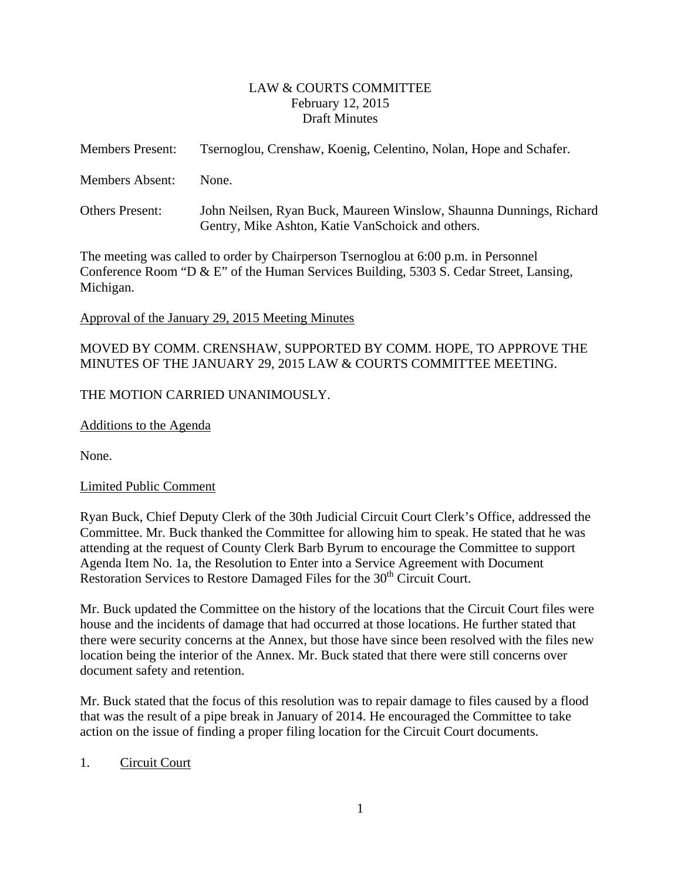#### LAW & COURTS COMMITTEE February 12, 2015 Draft Minutes

<span id="page-1-0"></span>

| <b>Members Present:</b> | Tsernoglou, Crenshaw, Koenig, Celentino, Nolan, Hope and Schafer.                                                        |
|-------------------------|--------------------------------------------------------------------------------------------------------------------------|
| Members Absent:         | None.                                                                                                                    |
| <b>Others Present:</b>  | John Neilsen, Ryan Buck, Maureen Winslow, Shaunna Dunnings, Richard<br>Gentry, Mike Ashton, Katie VanSchoick and others. |

The meeting was called to order by Chairperson Tsernoglou at 6:00 p.m. in Personnel Conference Room "D & E" of the Human Services Building, 5303 S. Cedar Street, Lansing, Michigan.

Approval of the January 29, 2015 Meeting Minutes

#### MOVED BY COMM. CRENSHAW, SUPPORTED BY COMM. HOPE, TO APPROVE THE MINUTES OF THE JANUARY 29, 2015 LAW & COURTS COMMITTEE MEETING.

### THE MOTION CARRIED UNANIMOUSLY.

#### Additions to the Agenda

None.

#### Limited Public Comment

Ryan Buck, Chief Deputy Clerk of the 30th Judicial Circuit Court Clerk's Office, addressed the Committee. Mr. Buck thanked the Committee for allowing him to speak. He stated that he was attending at the request of County Clerk Barb Byrum to encourage the Committee to support Agenda Item No. 1a, the Resolution to Enter into a Service Agreement with Document Restoration Services to Restore Damaged Files for the 30<sup>th</sup> Circuit Court.

Mr. Buck updated the Committee on the history of the locations that the Circuit Court files were house and the incidents of damage that had occurred at those locations. He further stated that there were security concerns at the Annex, but those have since been resolved with the files new location being the interior of the Annex. Mr. Buck stated that there were still concerns over document safety and retention.

Mr. Buck stated that the focus of this resolution was to repair damage to files caused by a flood that was the result of a pipe break in January of 2014. He encouraged the Committee to take action on the issue of finding a proper filing location for the Circuit Court documents.

#### 1. Circuit Court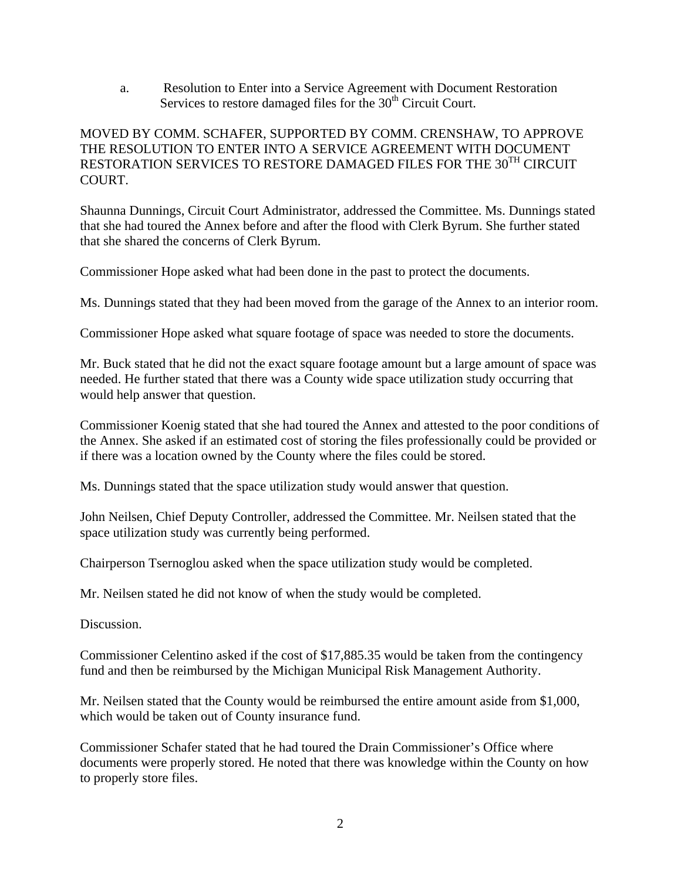a. Resolution to Enter into a Service Agreement with Document Restoration Services to restore damaged files for the  $30<sup>th</sup>$  Circuit Court.

#### MOVED BY COMM. SCHAFER, SUPPORTED BY COMM. CRENSHAW, TO APPROVE THE RESOLUTION TO ENTER INTO A SERVICE AGREEMENT WITH DOCUMENT RESTORATION SERVICES TO RESTORE DAMAGED FILES FOR THE 30TH CIRCUIT COURT.

Shaunna Dunnings, Circuit Court Administrator, addressed the Committee. Ms. Dunnings stated that she had toured the Annex before and after the flood with Clerk Byrum. She further stated that she shared the concerns of Clerk Byrum.

Commissioner Hope asked what had been done in the past to protect the documents.

Ms. Dunnings stated that they had been moved from the garage of the Annex to an interior room.

Commissioner Hope asked what square footage of space was needed to store the documents.

Mr. Buck stated that he did not the exact square footage amount but a large amount of space was needed. He further stated that there was a County wide space utilization study occurring that would help answer that question.

Commissioner Koenig stated that she had toured the Annex and attested to the poor conditions of the Annex. She asked if an estimated cost of storing the files professionally could be provided or if there was a location owned by the County where the files could be stored.

Ms. Dunnings stated that the space utilization study would answer that question.

John Neilsen, Chief Deputy Controller, addressed the Committee. Mr. Neilsen stated that the space utilization study was currently being performed.

Chairperson Tsernoglou asked when the space utilization study would be completed.

Mr. Neilsen stated he did not know of when the study would be completed.

Discussion.

Commissioner Celentino asked if the cost of \$17,885.35 would be taken from the contingency fund and then be reimbursed by the Michigan Municipal Risk Management Authority.

Mr. Neilsen stated that the County would be reimbursed the entire amount aside from \$1,000, which would be taken out of County insurance fund.

Commissioner Schafer stated that he had toured the Drain Commissioner's Office where documents were properly stored. He noted that there was knowledge within the County on how to properly store files.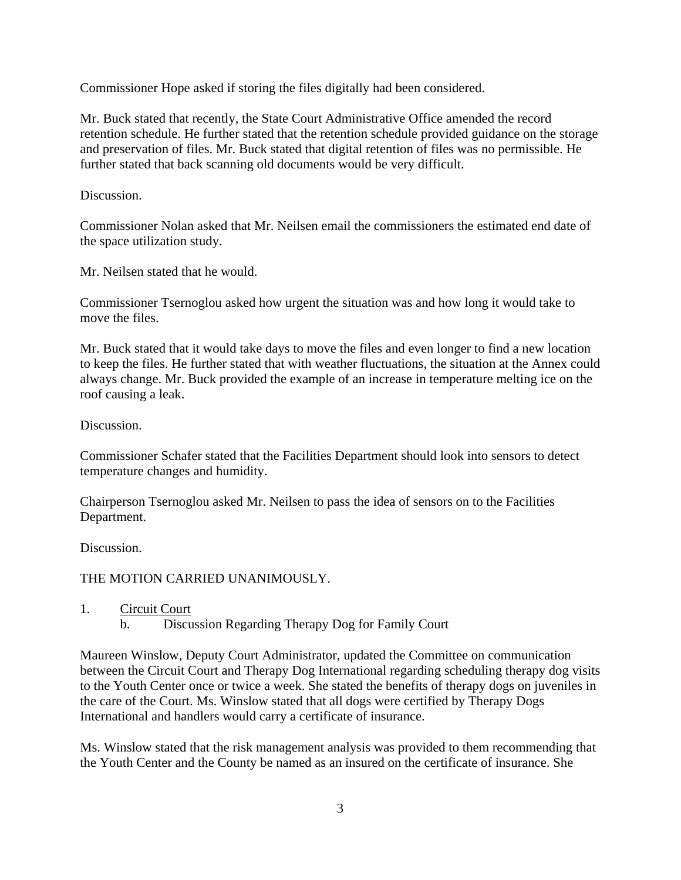Commissioner Hope asked if storing the files digitally had been considered.

Mr. Buck stated that recently, the State Court Administrative Office amended the record retention schedule. He further stated that the retention schedule provided guidance on the storage and preservation of files. Mr. Buck stated that digital retention of files was no permissible. He further stated that back scanning old documents would be very difficult.

Discussion.

Commissioner Nolan asked that Mr. Neilsen email the commissioners the estimated end date of the space utilization study.

Mr. Neilsen stated that he would.

Commissioner Tsernoglou asked how urgent the situation was and how long it would take to move the files.

Mr. Buck stated that it would take days to move the files and even longer to find a new location to keep the files. He further stated that with weather fluctuations, the situation at the Annex could always change. Mr. Buck provided the example of an increase in temperature melting ice on the roof causing a leak.

Discussion.

Commissioner Schafer stated that the Facilities Department should look into sensors to detect temperature changes and humidity.

Chairperson Tsernoglou asked Mr. Neilsen to pass the idea of sensors on to the Facilities Department.

Discussion.

THE MOTION CARRIED UNANIMOUSLY.

1. Circuit Court

b. Discussion Regarding Therapy Dog for Family Court

Maureen Winslow, Deputy Court Administrator, updated the Committee on communication between the Circuit Court and Therapy Dog International regarding scheduling therapy dog visits to the Youth Center once or twice a week. She stated the benefits of therapy dogs on juveniles in the care of the Court. Ms. Winslow stated that all dogs were certified by Therapy Dogs International and handlers would carry a certificate of insurance.

Ms. Winslow stated that the risk management analysis was provided to them recommending that the Youth Center and the County be named as an insured on the certificate of insurance. She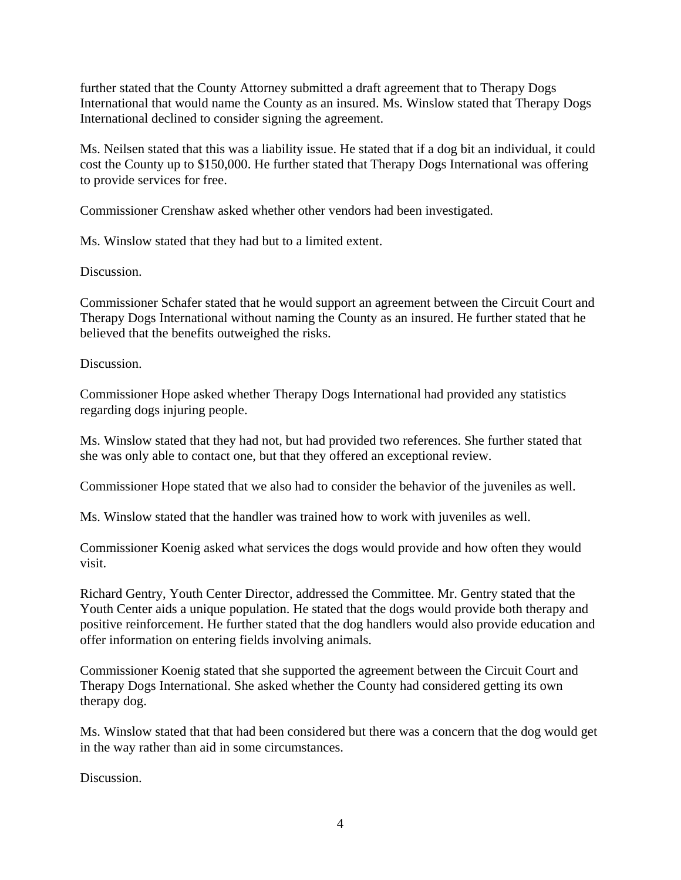further stated that the County Attorney submitted a draft agreement that to Therapy Dogs International that would name the County as an insured. Ms. Winslow stated that Therapy Dogs International declined to consider signing the agreement.

Ms. Neilsen stated that this was a liability issue. He stated that if a dog bit an individual, it could cost the County up to \$150,000. He further stated that Therapy Dogs International was offering to provide services for free.

Commissioner Crenshaw asked whether other vendors had been investigated.

Ms. Winslow stated that they had but to a limited extent.

Discussion.

Commissioner Schafer stated that he would support an agreement between the Circuit Court and Therapy Dogs International without naming the County as an insured. He further stated that he believed that the benefits outweighed the risks.

#### Discussion.

Commissioner Hope asked whether Therapy Dogs International had provided any statistics regarding dogs injuring people.

Ms. Winslow stated that they had not, but had provided two references. She further stated that she was only able to contact one, but that they offered an exceptional review.

Commissioner Hope stated that we also had to consider the behavior of the juveniles as well.

Ms. Winslow stated that the handler was trained how to work with juveniles as well.

Commissioner Koenig asked what services the dogs would provide and how often they would visit.

Richard Gentry, Youth Center Director, addressed the Committee. Mr. Gentry stated that the Youth Center aids a unique population. He stated that the dogs would provide both therapy and positive reinforcement. He further stated that the dog handlers would also provide education and offer information on entering fields involving animals.

Commissioner Koenig stated that she supported the agreement between the Circuit Court and Therapy Dogs International. She asked whether the County had considered getting its own therapy dog.

Ms. Winslow stated that that had been considered but there was a concern that the dog would get in the way rather than aid in some circumstances.

Discussion.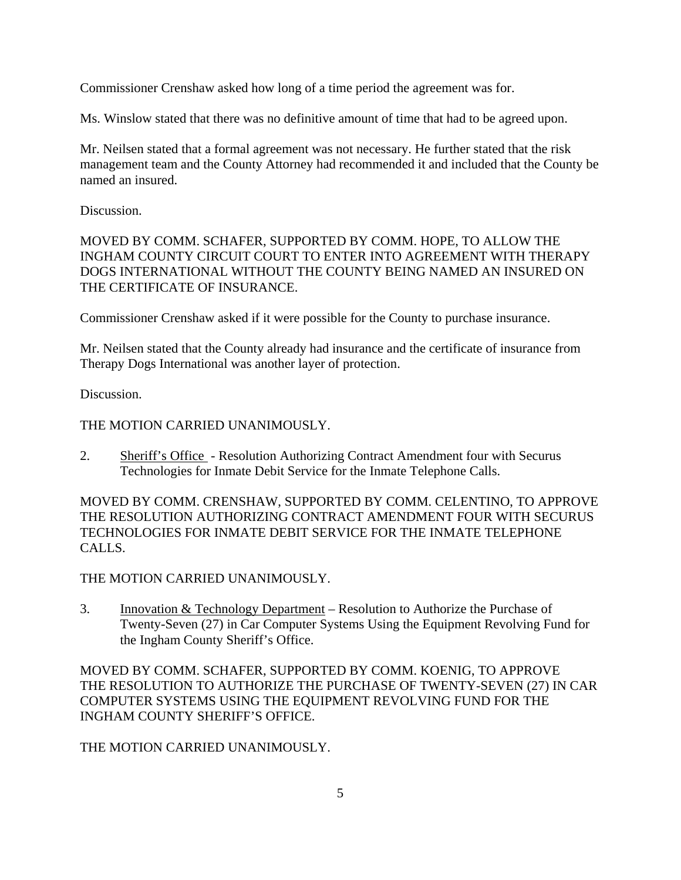Commissioner Crenshaw asked how long of a time period the agreement was for.

Ms. Winslow stated that there was no definitive amount of time that had to be agreed upon.

Mr. Neilsen stated that a formal agreement was not necessary. He further stated that the risk management team and the County Attorney had recommended it and included that the County be named an insured.

Discussion.

MOVED BY COMM. SCHAFER, SUPPORTED BY COMM. HOPE, TO ALLOW THE INGHAM COUNTY CIRCUIT COURT TO ENTER INTO AGREEMENT WITH THERAPY DOGS INTERNATIONAL WITHOUT THE COUNTY BEING NAMED AN INSURED ON THE CERTIFICATE OF INSURANCE.

Commissioner Crenshaw asked if it were possible for the County to purchase insurance.

Mr. Neilsen stated that the County already had insurance and the certificate of insurance from Therapy Dogs International was another layer of protection.

Discussion.

THE MOTION CARRIED UNANIMOUSLY.

2. Sheriff's Office - Resolution Authorizing Contract Amendment four with Securus Technologies for Inmate Debit Service for the Inmate Telephone Calls.

MOVED BY COMM. CRENSHAW, SUPPORTED BY COMM. CELENTINO, TO APPROVE THE RESOLUTION AUTHORIZING CONTRACT AMENDMENT FOUR WITH SECURUS TECHNOLOGIES FOR INMATE DEBIT SERVICE FOR THE INMATE TELEPHONE CALLS.

THE MOTION CARRIED UNANIMOUSLY.

3. Innovation & Technology Department – Resolution to Authorize the Purchase of Twenty-Seven (27) in Car Computer Systems Using the Equipment Revolving Fund for the Ingham County Sheriff's Office.

MOVED BY COMM. SCHAFER, SUPPORTED BY COMM. KOENIG, TO APPROVE THE RESOLUTION TO AUTHORIZE THE PURCHASE OF TWENTY-SEVEN (27) IN CAR COMPUTER SYSTEMS USING THE EQUIPMENT REVOLVING FUND FOR THE INGHAM COUNTY SHERIFF'S OFFICE.

THE MOTION CARRIED UNANIMOUSLY.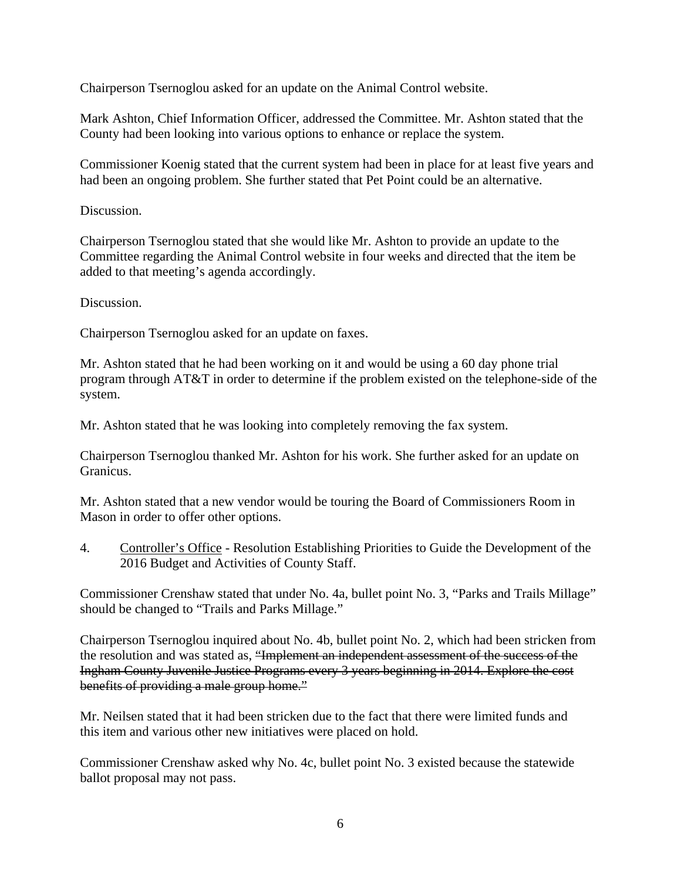Chairperson Tsernoglou asked for an update on the Animal Control website.

Mark Ashton, Chief Information Officer, addressed the Committee. Mr. Ashton stated that the County had been looking into various options to enhance or replace the system.

Commissioner Koenig stated that the current system had been in place for at least five years and had been an ongoing problem. She further stated that Pet Point could be an alternative.

Discussion.

Chairperson Tsernoglou stated that she would like Mr. Ashton to provide an update to the Committee regarding the Animal Control website in four weeks and directed that the item be added to that meeting's agenda accordingly.

Discussion.

Chairperson Tsernoglou asked for an update on faxes.

Mr. Ashton stated that he had been working on it and would be using a 60 day phone trial program through AT&T in order to determine if the problem existed on the telephone-side of the system.

Mr. Ashton stated that he was looking into completely removing the fax system.

Chairperson Tsernoglou thanked Mr. Ashton for his work. She further asked for an update on Granicus.

Mr. Ashton stated that a new vendor would be touring the Board of Commissioners Room in Mason in order to offer other options.

4. Controller's Office - Resolution Establishing Priorities to Guide the Development of the 2016 Budget and Activities of County Staff.

Commissioner Crenshaw stated that under No. 4a, bullet point No. 3, "Parks and Trails Millage" should be changed to "Trails and Parks Millage."

Chairperson Tsernoglou inquired about No. 4b, bullet point No. 2, which had been stricken from the resolution and was stated as, "Implement an independent assessment of the success of the Ingham County Juvenile Justice Programs every 3 years beginning in 2014. Explore the cost benefits of providing a male group home."

Mr. Neilsen stated that it had been stricken due to the fact that there were limited funds and this item and various other new initiatives were placed on hold.

Commissioner Crenshaw asked why No. 4c, bullet point No. 3 existed because the statewide ballot proposal may not pass.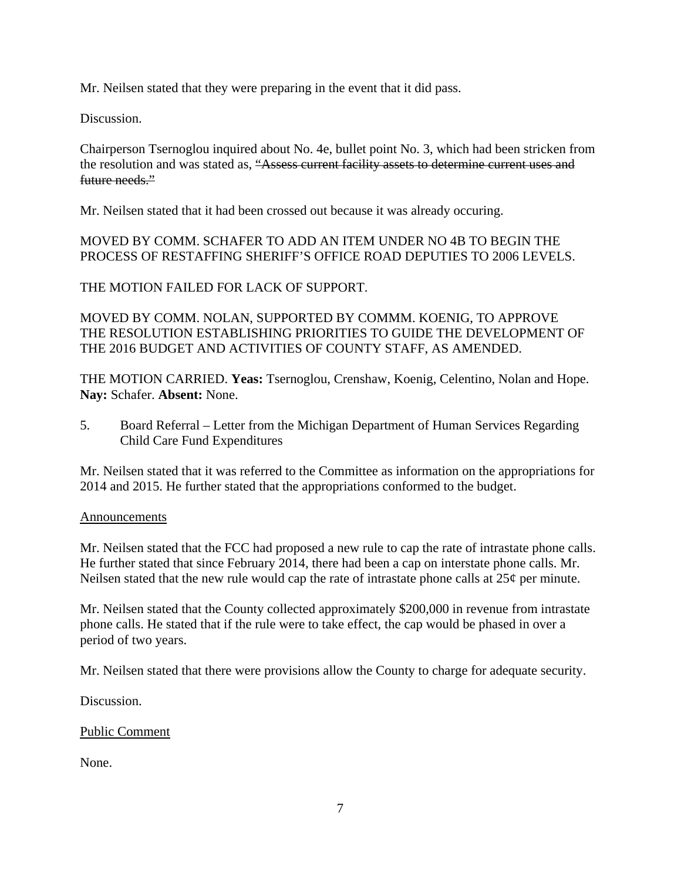Mr. Neilsen stated that they were preparing in the event that it did pass.

Discussion.

Chairperson Tsernoglou inquired about No. 4e, bullet point No. 3, which had been stricken from the resolution and was stated as, "Assess current facility assets to determine current uses and future needs."

Mr. Neilsen stated that it had been crossed out because it was already occuring.

MOVED BY COMM. SCHAFER TO ADD AN ITEM UNDER NO 4B TO BEGIN THE PROCESS OF RESTAFFING SHERIFF'S OFFICE ROAD DEPUTIES TO 2006 LEVELS.

THE MOTION FAILED FOR LACK OF SUPPORT.

MOVED BY COMM. NOLAN, SUPPORTED BY COMMM. KOENIG, TO APPROVE THE RESOLUTION ESTABLISHING PRIORITIES TO GUIDE THE DEVELOPMENT OF THE 2016 BUDGET AND ACTIVITIES OF COUNTY STAFF, AS AMENDED.

THE MOTION CARRIED. **Yeas:** Tsernoglou, Crenshaw, Koenig, Celentino, Nolan and Hope. **Nay:** Schafer. **Absent:** None.

5. Board Referral – Letter from the Michigan Department of Human Services Regarding Child Care Fund Expenditures

Mr. Neilsen stated that it was referred to the Committee as information on the appropriations for 2014 and 2015. He further stated that the appropriations conformed to the budget.

#### Announcements

Mr. Neilsen stated that the FCC had proposed a new rule to cap the rate of intrastate phone calls. He further stated that since February 2014, there had been a cap on interstate phone calls. Mr. Neilsen stated that the new rule would cap the rate of intrastate phone calls at  $25¢$  per minute.

Mr. Neilsen stated that the County collected approximately \$200,000 in revenue from intrastate phone calls. He stated that if the rule were to take effect, the cap would be phased in over a period of two years.

Mr. Neilsen stated that there were provisions allow the County to charge for adequate security.

Discussion.

Public Comment

None.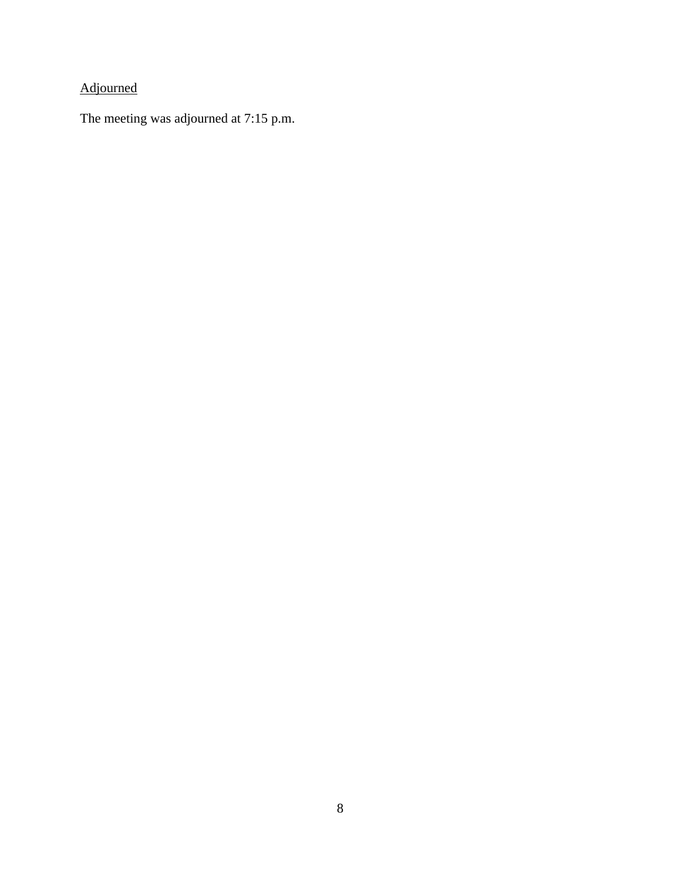# Adjourned

The meeting was adjourned at 7:15 p.m.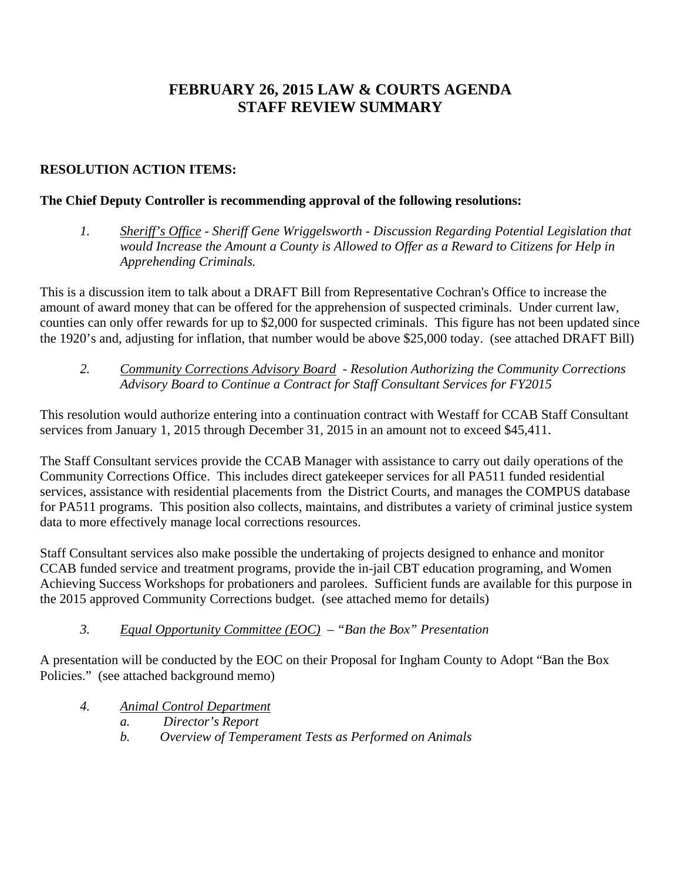# **FEBRUARY 26, 2015 LAW & COURTS AGENDA STAFF REVIEW SUMMARY**

## **RESOLUTION ACTION ITEMS:**

#### **The Chief Deputy Controller is recommending approval of the following resolutions:**

*1. Sheriff's Office - Sheriff Gene Wriggelsworth - Discussion Regarding Potential Legislation that would Increase the Amount a County is Allowed to Offer as a Reward to Citizens for Help in Apprehending Criminals.* 

This is a discussion item to talk about a DRAFT Bill from Representative Cochran's Office to increase the amount of award money that can be offered for the apprehension of suspected criminals. Under current law, counties can only offer rewards for up to \$2,000 for suspected criminals. This figure has not been updated since the 1920's and, adjusting for inflation, that number would be above \$25,000 today. (see attached DRAFT Bill)

*2. Community Corrections Advisory Board - Resolution Authorizing the Community Corrections Advisory Board to Continue a Contract for Staff Consultant Services for FY2015* 

This resolution would authorize entering into a continuation contract with Westaff for CCAB Staff Consultant services from January 1, 2015 through December 31, 2015 in an amount not to exceed \$45,411.

The Staff Consultant services provide the CCAB Manager with assistance to carry out daily operations of the Community Corrections Office. This includes direct gatekeeper services for all PA511 funded residential services, assistance with residential placements from the District Courts, and manages the COMPUS database for PA511 programs. This position also collects, maintains, and distributes a variety of criminal justice system data to more effectively manage local corrections resources.

Staff Consultant services also make possible the undertaking of projects designed to enhance and monitor CCAB funded service and treatment programs, provide the in-jail CBT education programing, and Women Achieving Success Workshops for probationers and parolees. Sufficient funds are available for this purpose in the 2015 approved Community Corrections budget. (see attached memo for details)

### *3. Equal Opportunity Committee (EOC) – "Ban the Box" Presentation*

A presentation will be conducted by the EOC on their Proposal for Ingham County to Adopt "Ban the Box Policies." (see attached background memo)

- *4. Animal Control Department*
	- *a. Director's Report*
	- *b. Overview of Temperament Tests as Performed on Animals*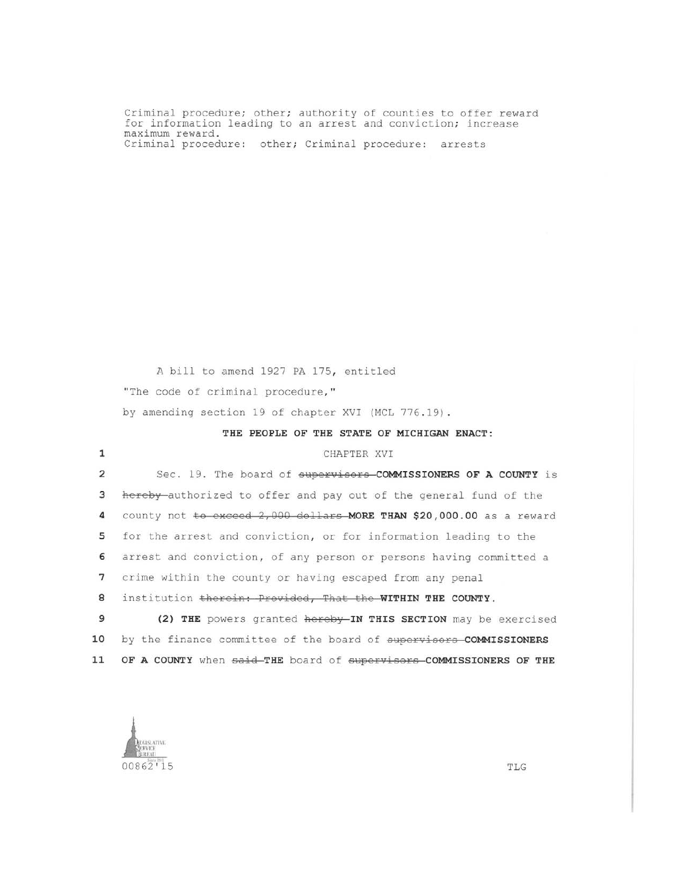Criminal procedure; other; authority of counties to offer reward for information leading to an arrest and conviction; increase maximum reward. Criminal procedure: other; Criminal procedure: arrests

A bill to amend 1927 PA 175, entitled "The code of criminal procedure," by amending section 19 of chapter XVI (MCL 776.19).

THE PEOPLE OF THE STATE OF MICHIGAN ENACT:

#### CHAPTER XVI

Sec. 19. The board of supervisors COMMISSIONERS OF A COUNTY is  $\overline{2}$ 3 hereby authorized to offer and pay out of the general fund of the county not to exceed 2,000 dollars MORE THAN \$20,000.00 as a reward 4 5 for the arrest and conviction, or for information leading to the 6 arrest and conviction, of any person or persons having committed a 7 crime within the county or having escaped from any penal 8 institution therein: Provided, That the WITHIN THE COUNTY. 9 (2) THE powers granted hereby-IN THIS SECTION may be exercised by the finance committee of the board of supervisors-COMMISSIONERS 10

OF A COUNTY when said-THE board of supervisors-COMMISSIONERS OF THE 11

**ALGISLATIVE LIREAL**  $00862'15$ 

TLG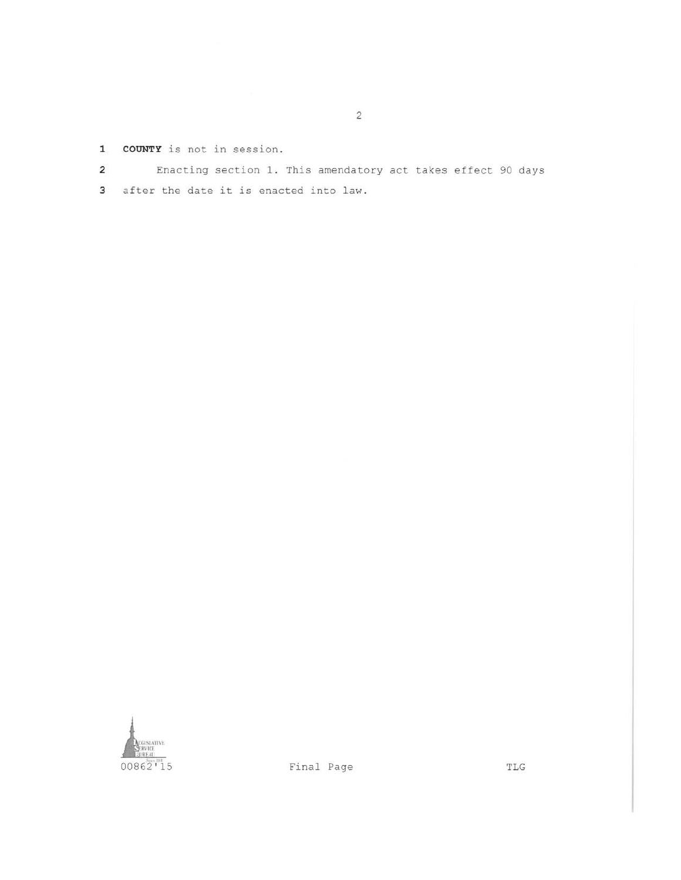- 1 COUNTY is not in session.
- Enacting section 1. This amendatory act takes effect 90 days  $\overline{a}$

 $\overline{c}$ 

3 after the date it is enacted into law.



 $\operatorname{{\bf TLG}}$ 

Final Page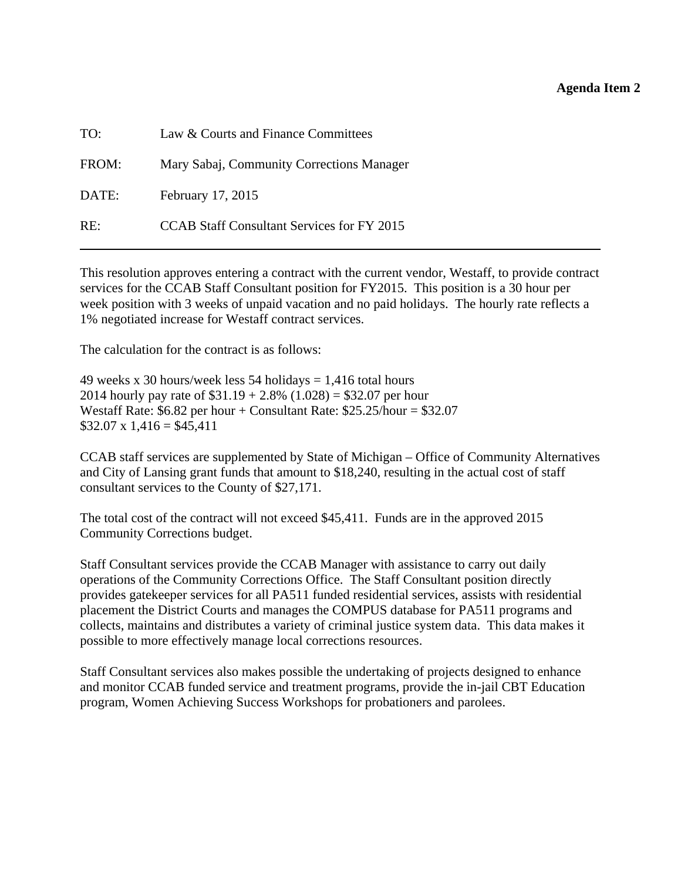#### **Agenda Item 2**

<span id="page-12-0"></span>

| TO:   | Law & Courts and Finance Committees               |
|-------|---------------------------------------------------|
| FROM: | Mary Sabaj, Community Corrections Manager         |
| DATE: | February 17, 2015                                 |
| RE:   | <b>CCAB Staff Consultant Services for FY 2015</b> |

This resolution approves entering a contract with the current vendor, Westaff, to provide contract services for the CCAB Staff Consultant position for FY2015. This position is a 30 hour per week position with 3 weeks of unpaid vacation and no paid holidays. The hourly rate reflects a 1% negotiated increase for Westaff contract services.

The calculation for the contract is as follows:

49 weeks x 30 hours/week less 54 holidays  $= 1,416$  total hours 2014 hourly pay rate of  $$31.19 + 2.8\%$  (1.028) = \$32.07 per hour Westaff Rate:  $$6.82$  per hour + Consultant Rate:  $$25.25/h$ our =  $$32.07$  $$32.07 \times 1,416 = $45,411$ 

CCAB staff services are supplemented by State of Michigan – Office of Community Alternatives and City of Lansing grant funds that amount to \$18,240, resulting in the actual cost of staff consultant services to the County of \$27,171.

The total cost of the contract will not exceed \$45,411. Funds are in the approved 2015 Community Corrections budget.

Staff Consultant services provide the CCAB Manager with assistance to carry out daily operations of the Community Corrections Office. The Staff Consultant position directly provides gatekeeper services for all PA511 funded residential services, assists with residential placement the District Courts and manages the COMPUS database for PA511 programs and collects, maintains and distributes a variety of criminal justice system data. This data makes it possible to more effectively manage local corrections resources.

Staff Consultant services also makes possible the undertaking of projects designed to enhance and monitor CCAB funded service and treatment programs, provide the in-jail CBT Education program, Women Achieving Success Workshops for probationers and parolees.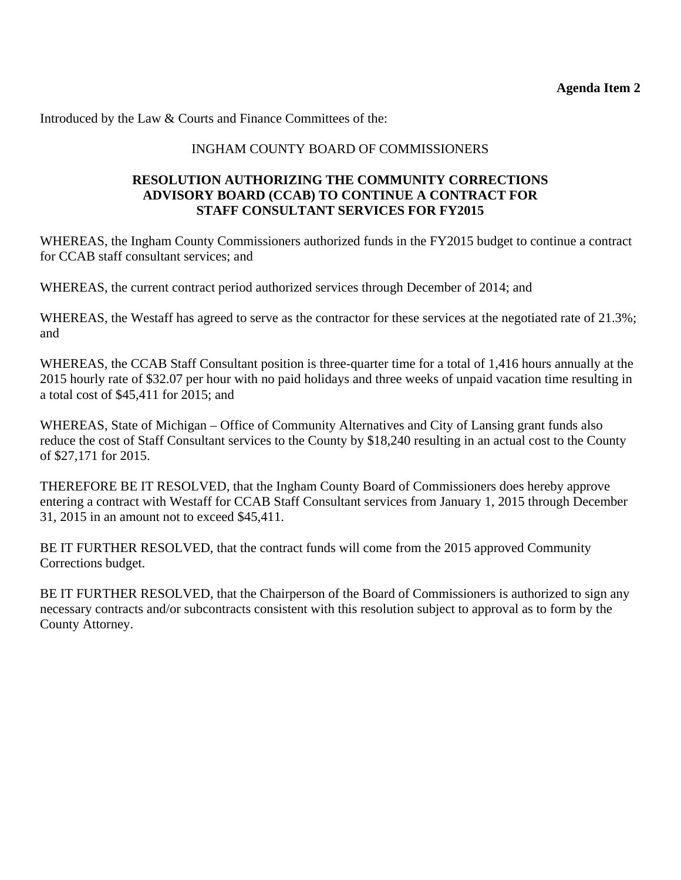Introduced by the Law & Courts and Finance Committees of the:

#### INGHAM COUNTY BOARD OF COMMISSIONERS

#### **RESOLUTION AUTHORIZING THE COMMUNITY CORRECTIONS ADVISORY BOARD (CCAB) TO CONTINUE A CONTRACT FOR STAFF CONSULTANT SERVICES FOR FY2015**

WHEREAS, the Ingham County Commissioners authorized funds in the FY2015 budget to continue a contract for CCAB staff consultant services; and

WHEREAS, the current contract period authorized services through December of 2014; and

WHEREAS, the Westaff has agreed to serve as the contractor for these services at the negotiated rate of 21.3%; and

WHEREAS, the CCAB Staff Consultant position is three-quarter time for a total of 1,416 hours annually at the 2015 hourly rate of \$32.07 per hour with no paid holidays and three weeks of unpaid vacation time resulting in a total cost of \$45,411 for 2015; and

WHEREAS, State of Michigan – Office of Community Alternatives and City of Lansing grant funds also reduce the cost of Staff Consultant services to the County by \$18,240 resulting in an actual cost to the County of \$27,171 for 2015.

THEREFORE BE IT RESOLVED, that the Ingham County Board of Commissioners does hereby approve entering a contract with Westaff for CCAB Staff Consultant services from January 1, 2015 through December 31, 2015 in an amount not to exceed \$45,411.

BE IT FURTHER RESOLVED, that the contract funds will come from the 2015 approved Community Corrections budget.

BE IT FURTHER RESOLVED, that the Chairperson of the Board of Commissioners is authorized to sign any necessary contracts and/or subcontracts consistent with this resolution subject to approval as to form by the County Attorney.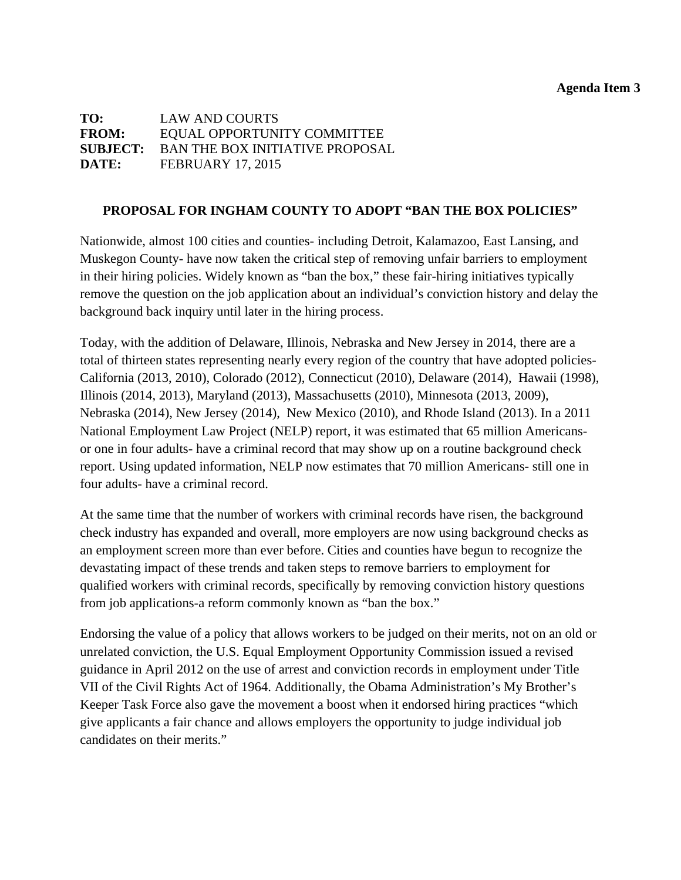<span id="page-14-0"></span>**TO:** LAW AND COURTS **FROM:** EQUAL OPPORTUNITY COMMITTEE **SUBJECT:** BAN THE BOX INITIATIVE PROPOSAL **DATE:** FEBRUARY 17, 2015

#### **PROPOSAL FOR INGHAM COUNTY TO ADOPT "BAN THE BOX POLICIES"**

Nationwide, almost 100 cities and counties- including Detroit, Kalamazoo, East Lansing, and Muskegon County- have now taken the critical step of removing unfair barriers to employment in their hiring policies. Widely known as "ban the box," these fair-hiring initiatives typically remove the question on the job application about an individual's conviction history and delay the background back inquiry until later in the hiring process.

Today, with the addition of Delaware, Illinois, Nebraska and New Jersey in 2014, there are a total of thirteen states representing nearly every region of the country that have adopted policies-California (2013, 2010), Colorado (2012), Connecticut (2010), Delaware (2014), Hawaii (1998), Illinois (2014, 2013), Maryland (2013), Massachusetts (2010), Minnesota (2013, 2009), Nebraska (2014), New Jersey (2014), New Mexico (2010), and Rhode Island (2013). In a 2011 National Employment Law Project (NELP) report, it was estimated that 65 million Americansor one in four adults- have a criminal record that may show up on a routine background check report. Using updated information, NELP now estimates that 70 million Americans- still one in four adults- have a criminal record.

At the same time that the number of workers with criminal records have risen, the background check industry has expanded and overall, more employers are now using background checks as an employment screen more than ever before. Cities and counties have begun to recognize the devastating impact of these trends and taken steps to remove barriers to employment for qualified workers with criminal records, specifically by removing conviction history questions from job applications-a reform commonly known as "ban the box."

Endorsing the value of a policy that allows workers to be judged on their merits, not on an old or unrelated conviction, the U.S. Equal Employment Opportunity Commission issued a revised guidance in April 2012 on the use of arrest and conviction records in employment under Title VII of the Civil Rights Act of 1964. Additionally, the Obama Administration's My Brother's Keeper Task Force also gave the movement a boost when it endorsed hiring practices "which give applicants a fair chance and allows employers the opportunity to judge individual job candidates on their merits."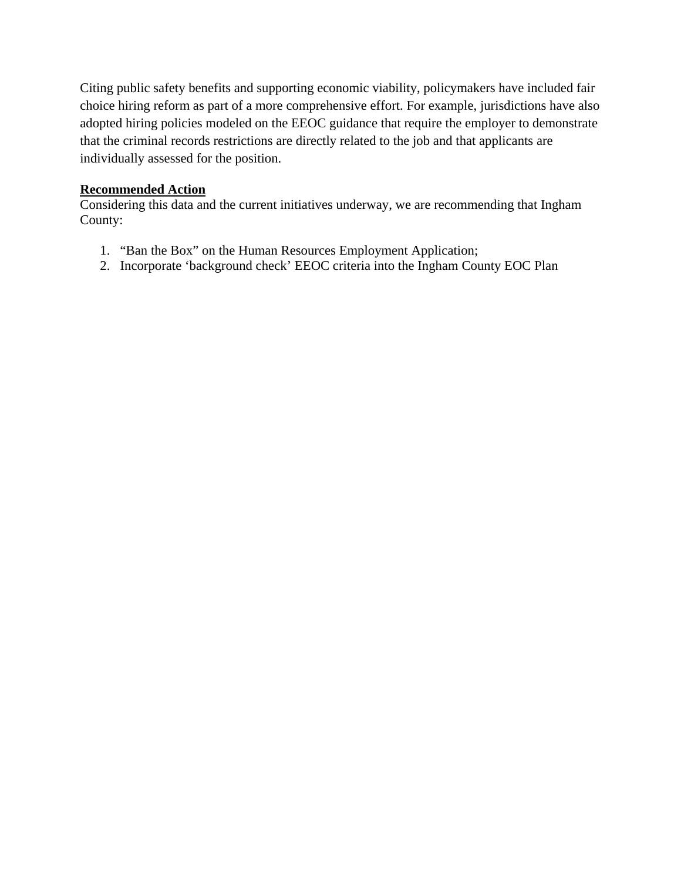Citing public safety benefits and supporting economic viability, policymakers have included fair choice hiring reform as part of a more comprehensive effort. For example, jurisdictions have also adopted hiring policies modeled on the EEOC guidance that require the employer to demonstrate that the criminal records restrictions are directly related to the job and that applicants are individually assessed for the position.

### **Recommended Action**

Considering this data and the current initiatives underway, we are recommending that Ingham County:

- 1. "Ban the Box" on the Human Resources Employment Application;
- 2. Incorporate 'background check' EEOC criteria into the Ingham County EOC Plan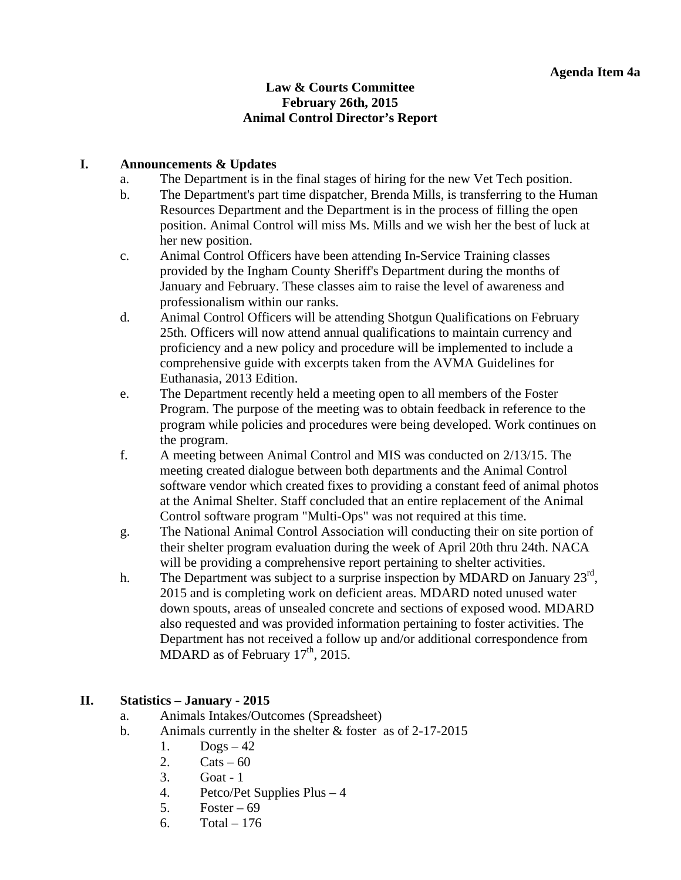#### **Law & Courts Committee February 26th, 2015 Animal Control Director's Report**

#### <span id="page-16-0"></span>**I. Announcements & Updates**

- a. The Department is in the final stages of hiring for the new Vet Tech position.
- b. The Department's part time dispatcher, Brenda Mills, is transferring to the Human Resources Department and the Department is in the process of filling the open position. Animal Control will miss Ms. Mills and we wish her the best of luck at her new position.
- c. Animal Control Officers have been attending In-Service Training classes provided by the Ingham County Sheriff's Department during the months of January and February. These classes aim to raise the level of awareness and professionalism within our ranks.
- d. Animal Control Officers will be attending Shotgun Qualifications on February 25th. Officers will now attend annual qualifications to maintain currency and proficiency and a new policy and procedure will be implemented to include a comprehensive guide with excerpts taken from the AVMA Guidelines for Euthanasia, 2013 Edition.
- e. The Department recently held a meeting open to all members of the Foster Program. The purpose of the meeting was to obtain feedback in reference to the program while policies and procedures were being developed. Work continues on the program.
- f. A meeting between Animal Control and MIS was conducted on 2/13/15. The meeting created dialogue between both departments and the Animal Control software vendor which created fixes to providing a constant feed of animal photos at the Animal Shelter. Staff concluded that an entire replacement of the Animal Control software program "Multi-Ops" was not required at this time.
- g. The National Animal Control Association will conducting their on site portion of their shelter program evaluation during the week of April 20th thru 24th. NACA will be providing a comprehensive report pertaining to shelter activities.
- h. The Department was subject to a surprise inspection by MDARD on January 23<sup>rd</sup>, 2015 and is completing work on deficient areas. MDARD noted unused water down spouts, areas of unsealed concrete and sections of exposed wood. MDARD also requested and was provided information pertaining to foster activities. The Department has not received a follow up and/or additional correspondence from MDARD as of February  $17<sup>th</sup>$ , 2015.

### **II. Statistics – January - 2015**

- a. Animals Intakes/Outcomes (Spreadsheet)
- b. Animals currently in the shelter & foster as of 2-17-2015
	- 1.  $\text{Dogs}-42$ 
		- 2.  $\text{Cats} 60$
		- 3. Goat 1
		- 4. Petco/Pet Supplies Plus 4
		- 5. Foster  $-69$
		- 6. Total  $-176$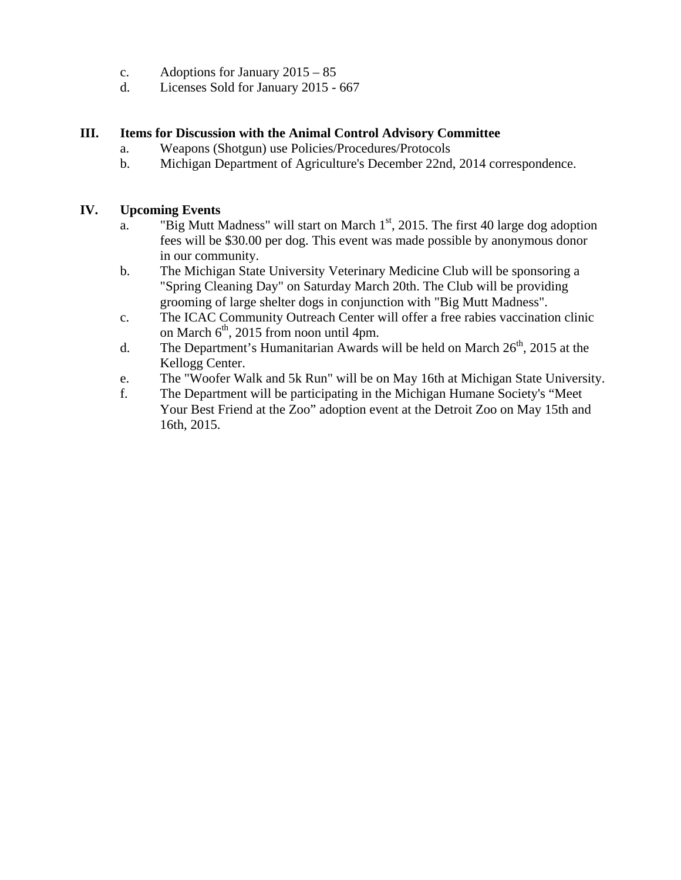- c. Adoptions for January 2015 85
- d. Licenses Sold for January 2015 667

#### **III. Items for Discussion with the Animal Control Advisory Committee**

- a. Weapons (Shotgun) use Policies/Procedures/Protocols
- b. Michigan Department of Agriculture's December 22nd, 2014 correspondence.

#### **IV. Upcoming Events**

- a. "Big Mutt Madness" will start on March  $1<sup>st</sup>$ , 2015. The first 40 large dog adoption fees will be \$30.00 per dog. This event was made possible by anonymous donor in our community.
- b. The Michigan State University Veterinary Medicine Club will be sponsoring a "Spring Cleaning Day" on Saturday March 20th. The Club will be providing grooming of large shelter dogs in conjunction with "Big Mutt Madness".
- c. The ICAC Community Outreach Center will offer a free rabies vaccination clinic on March  $6<sup>th</sup>$ , 2015 from noon until 4pm.
- d. The Department's Humanitarian Awards will be held on March  $26<sup>th</sup>$ , 2015 at the Kellogg Center.
- e. The "Woofer Walk and 5k Run" will be on May 16th at Michigan State University.
- f. The Department will be participating in the Michigan Humane Society's "Meet Your Best Friend at the Zoo" adoption event at the Detroit Zoo on May 15th and 16th, 2015.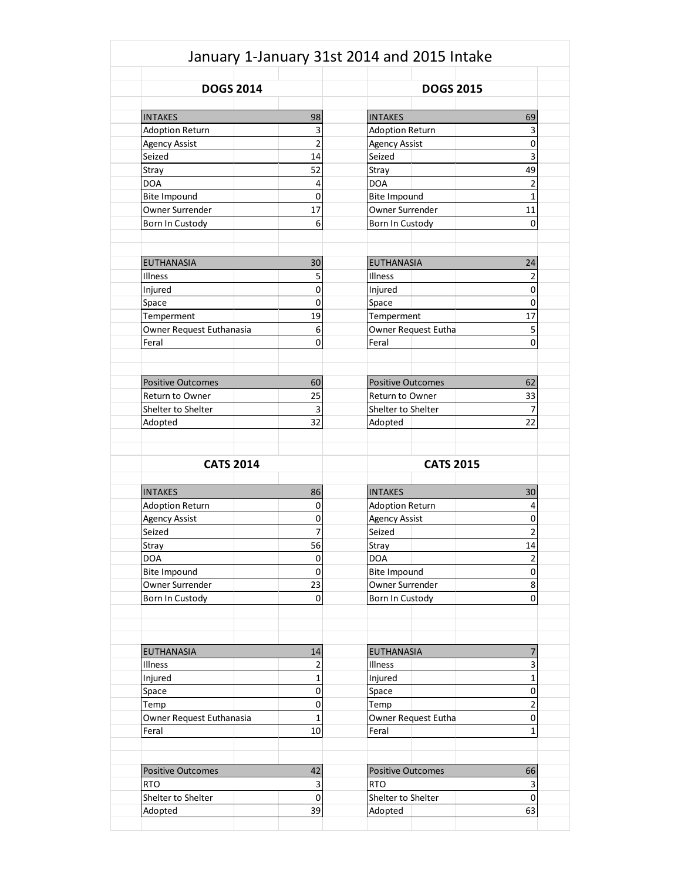| <b>DOGS 2014</b>         |                | <b>DOGS 2015</b>         |                |
|--------------------------|----------------|--------------------------|----------------|
|                          |                |                          |                |
| <b>INTAKES</b>           | 98             | <b>INTAKES</b>           | 69             |
| <b>Adoption Return</b>   | 3              | <b>Adoption Return</b>   | 3              |
| <b>Agency Assist</b>     | $\overline{2}$ | <b>Agency Assist</b>     | $\pmb{0}$      |
| Seized                   | 14             | Seized                   | 3              |
| Stray                    | 52             | Stray                    | 49             |
| <b>DOA</b>               | 4              | <b>DOA</b>               | 2              |
| <b>Bite Impound</b>      | 0              | <b>Bite Impound</b>      | $\mathbf 1$    |
| Owner Surrender          | 17             | Owner Surrender          | 11             |
| Born In Custody          | 6              | Born In Custody          | 0              |
| <b>EUTHANASIA</b>        | 30             | <b>EUTHANASIA</b>        | 24             |
| Illness                  | 5              | Illness                  | 2              |
| Injured                  | $\mathbf 0$    | Injured                  | $\pmb{0}$      |
| Space                    | $\overline{0}$ | Space                    | $\mathbf 0$    |
| Temperment               | 19             | Temperment               | 17             |
| Owner Request Euthanasia | 6              | Owner Request Eutha      | 5              |
| Feral                    | $\overline{0}$ | Feral                    | $\mathbf 0$    |
|                          |                |                          |                |
| <b>Positive Outcomes</b> | 60             | <b>Positive Outcomes</b> | 62             |
| <b>Return to Owner</b>   | 25             | <b>Return to Owner</b>   | 33             |
| Shelter to Shelter       | 3              | Shelter to Shelter       | 7              |
| Adopted                  | 32             | Adopted                  | 22             |
| <b>CATS 2014</b>         |                | <b>CATS 2015</b>         |                |
| <b>INTAKES</b>           | 86             | <b>INTAKES</b>           | 30             |
| <b>Adoption Return</b>   | 0              | <b>Adoption Return</b>   | 4              |
| <b>Agency Assist</b>     | 0              | <b>Agency Assist</b>     | 0              |
| Seized                   | 7              | Seized                   | $\overline{2}$ |
| Stray                    | 56             | Stray                    | 14             |
| <b>DOA</b>               | 0              | <b>DOA</b>               | 2              |
| <b>Bite Impound</b>      | $\mathbf 0$    | <b>Bite Impound</b>      | $\mathbf 0$    |
| Owner Surrender          | 23             | Owner Surrender          | 8              |
| Born In Custody          | $\pmb{0}$      | Born In Custody          | 0              |
| <b>EUTHANASIA</b>        | 14             | <b>EUTHANASIA</b>        | 7              |
| Illness                  | $\overline{2}$ | Illness                  | 3              |
| Injured                  | $\mathbf{1}$   | Injured                  | $\mathbf{1}$   |
| Space                    | $\mathbf 0$    | Space                    | 0              |
| Temp                     | $\mathbf 0$    | Temp                     | $\overline{2}$ |
| Owner Request Euthanasia | $\mathbf 1$    | Owner Request Eutha      | 0              |
| Feral                    | 10             | Feral                    | $\mathbf{1}$   |
| <b>Positive Outcomes</b> | 42             | <b>Positive Outcomes</b> | 66             |
|                          |                |                          |                |
| <b>RTO</b>               | 3              | <b>RTO</b>               | 3              |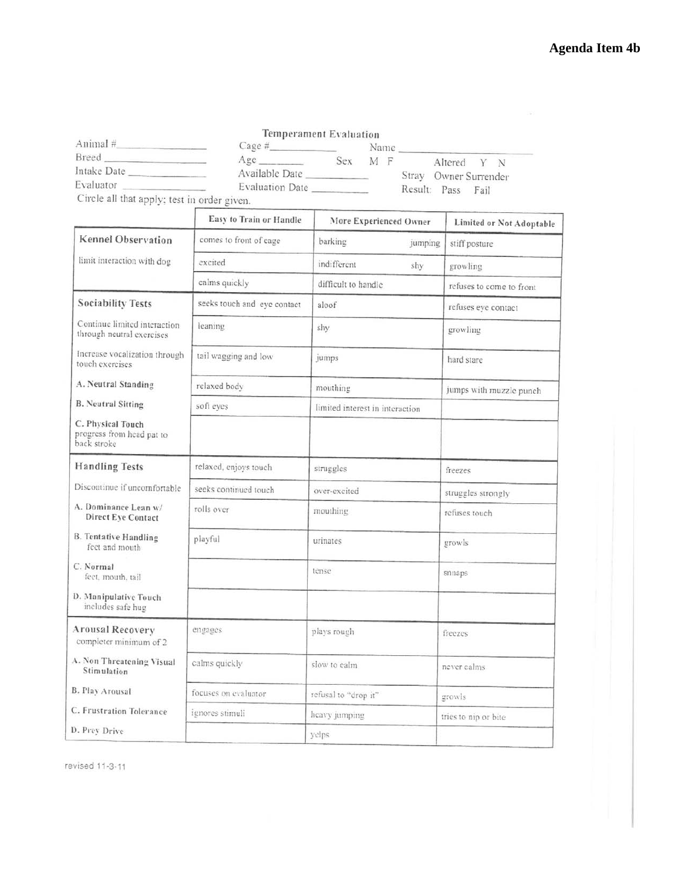$-148\%$ 

<span id="page-19-0"></span>

|                                            | Temperament Evaluation |     |      |  |                       |  |
|--------------------------------------------|------------------------|-----|------|--|-----------------------|--|
| Animal #                                   | Cage #                 |     | Name |  |                       |  |
| Breed                                      | Age                    | Sex | М    |  | Altered               |  |
| Intake Date                                | Available Date         |     |      |  | Stray Owner Surrender |  |
| Evaluator                                  | Evaluation Date        |     |      |  | Result: Pass Fail     |  |
| Circle all that apply; test in order given |                        |     |      |  |                       |  |

|                                                               | Easy to Train or Handle     | More Experienced Owner          | Limited or Not Adoptable |
|---------------------------------------------------------------|-----------------------------|---------------------------------|--------------------------|
| <b>Kennel Observation</b>                                     | comes to front of cage      | barking<br>jumping              | stiff posture            |
| limit interaction with dog                                    | excited                     | indifferent<br>shy              | growling                 |
|                                                               | calms quickly               | difficult to handle             | refuses to come to front |
| <b>Sociability Tests</b>                                      | seeks touch and eye contact | aloof                           | refuses eve contact      |
| Continue limited interaction<br>through neutral exercises     | leaning                     | shy                             | growling                 |
| Increase vocalization through<br>touch exercises              | tail wagging and low        | jumps                           | hard stare               |
| A. Neutral Standing                                           | relaxed body                | mouthing                        | jumps with muzzle punch  |
| <b>B. Neutral Sitting</b>                                     | soft eyes                   | limited interest in interaction |                          |
| C. Physical Touch<br>progress from head pat to<br>back stroke |                             |                                 |                          |
| <b>Handling Tests</b>                                         | relaxed, enjoys touch       | struggles                       | freezes                  |
| Discontinue if uncomfortable                                  | seeks continued touch       | over-excited                    | struggles strongly       |
| A. Dominance Lean w/<br><b>Direct Eye Contact</b>             | rolls over                  | mouthing                        | refuses touch            |
| <b>B. Tentative Handling</b><br>feet and mouth                | playful                     | urinates                        | growls                   |
| C. Normal<br>feet, mouth, tail                                |                             | tense                           | snnaps                   |
| D. Manipulative Touch<br>includes safe hug                    |                             |                                 |                          |
| <b>Arousal Recovery</b><br>completer minimum of 2             | engages                     | plays rough                     | freezes                  |
| A. Non Threatening Visual<br>Stimulation                      | calms quickly               | slow to calm                    | never calms.             |
| B. Play Arousal                                               | focuses on evaluator        | refusal to "drop it"            | growls                   |
| C. Frustration Tolerance                                      | ignores stimuli             | heavy jumping                   | tries to nip or bite     |
| D. Prev Drive                                                 |                             | yelps                           |                          |

revised 11-3-11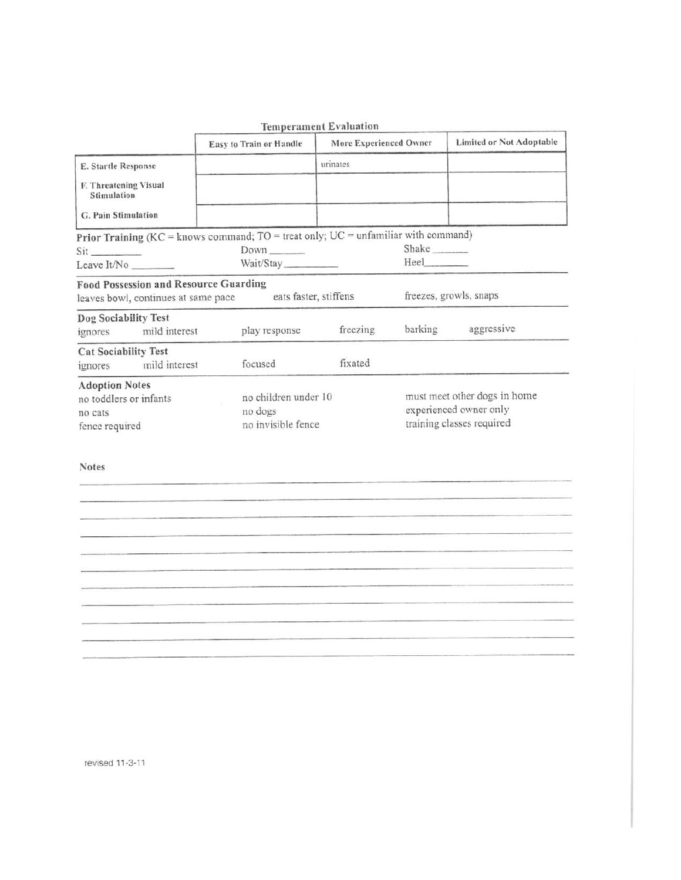|                                                                                                                                                                                                                                |                                                                              |                                                                                    | <b>Temperament Evaluation</b> |                                                                                     |                                 |
|--------------------------------------------------------------------------------------------------------------------------------------------------------------------------------------------------------------------------------|------------------------------------------------------------------------------|------------------------------------------------------------------------------------|-------------------------------|-------------------------------------------------------------------------------------|---------------------------------|
|                                                                                                                                                                                                                                |                                                                              | Easy to Train or Handle                                                            | More Experienced Owner        |                                                                                     | <b>Limited or Not Adoptable</b> |
| E. Startle Response                                                                                                                                                                                                            |                                                                              |                                                                                    | <i>urinates</i>               |                                                                                     |                                 |
| F. Threatening Visual<br><b>Stimulation</b>                                                                                                                                                                                    |                                                                              |                                                                                    |                               |                                                                                     |                                 |
| G. Pain Stimulation                                                                                                                                                                                                            |                                                                              |                                                                                    |                               |                                                                                     |                                 |
|                                                                                                                                                                                                                                |                                                                              | Prior Training (KC = knows command; TO = treat only; UC = unfamiliar with command) |                               |                                                                                     |                                 |
| Sit and the same of the same of the same of the same of the same of the same of the same of the same of the same of the same of the same of the same of the same of the same of the same of the same of the same of the same o |                                                                              |                                                                                    |                               | Shake                                                                               |                                 |
|                                                                                                                                                                                                                                | Leave It/No ________                                                         | Wait/Stay                                                                          |                               | Heel                                                                                |                                 |
|                                                                                                                                                                                                                                | Food Possession and Resource Guarding<br>leaves bowl, continues at same pace |                                                                                    | eats faster, stiffens         |                                                                                     | freezes, growls, snaps          |
| Dog Sociability Test                                                                                                                                                                                                           | ignores mild interest                                                        | play response                                                                      | freezing                      | barking                                                                             | aggressive                      |
| <b>Cat Sociability Test</b><br>focused<br>mild interest<br>ignores                                                                                                                                                             |                                                                              |                                                                                    | fixated                       |                                                                                     |                                 |
| <b>Adoption Notes</b><br>no children under 10<br>no toddlers or infants<br>no dogs<br>no cats<br>no invisible fence<br>fence required                                                                                          |                                                                              |                                                                                    |                               | must meet other dogs in home<br>experienced owner only<br>training classes required |                                 |

#### **Notes**

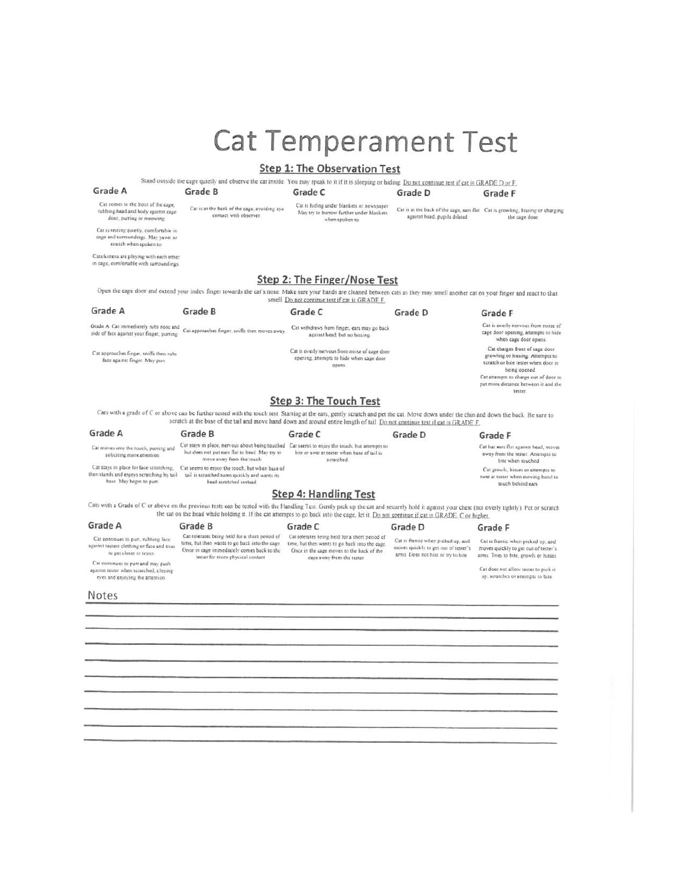# **Cat Temperament Test**

## **Step 1: The Observation Test**

| Grade A<br>Cat comes to the front of the cage,<br>rubbing head and body against cage<br>door, purting or meowing<br>Cat is resting quietly, comfortable in<br>cage and surroundings. May vawn or<br>stretch when spoken to.<br>Cats/kittens are playing with each other<br>in cage, comfortable with surroundings. | Stand outside the cage quietly and observe the cat inside. You may speak to it if it is sleeping or hiding. Do not continue test if cat is GRADE D or F<br>Grade B<br>Cat is at the back of the cage, avoiding eye<br>contact with observer.                                                                                                | Grade C<br>Cat is hiding under blankets or newspaper<br>May try to burrow further under blankets                                                                            | Grade D<br>Cat is at the back of the cage, ears flat Cat is growling, hissing or charging                        | Grade F                                                                                                                  |
|--------------------------------------------------------------------------------------------------------------------------------------------------------------------------------------------------------------------------------------------------------------------------------------------------------------------|---------------------------------------------------------------------------------------------------------------------------------------------------------------------------------------------------------------------------------------------------------------------------------------------------------------------------------------------|-----------------------------------------------------------------------------------------------------------------------------------------------------------------------------|------------------------------------------------------------------------------------------------------------------|--------------------------------------------------------------------------------------------------------------------------|
|                                                                                                                                                                                                                                                                                                                    |                                                                                                                                                                                                                                                                                                                                             |                                                                                                                                                                             |                                                                                                                  |                                                                                                                          |
|                                                                                                                                                                                                                                                                                                                    |                                                                                                                                                                                                                                                                                                                                             | when spoken to                                                                                                                                                              | against head, pupils dilated                                                                                     | the cage door                                                                                                            |
|                                                                                                                                                                                                                                                                                                                    |                                                                                                                                                                                                                                                                                                                                             |                                                                                                                                                                             |                                                                                                                  |                                                                                                                          |
|                                                                                                                                                                                                                                                                                                                    |                                                                                                                                                                                                                                                                                                                                             |                                                                                                                                                                             |                                                                                                                  |                                                                                                                          |
|                                                                                                                                                                                                                                                                                                                    |                                                                                                                                                                                                                                                                                                                                             | Step 2: The Finger/Nose Test                                                                                                                                                |                                                                                                                  |                                                                                                                          |
|                                                                                                                                                                                                                                                                                                                    | Open the cage door and extend your index finger towards the cat's nose. Make sure your hands are cleaned between cats as they may smell another cat on your finger and react to that                                                                                                                                                        | smell. Do not continue test if cat is GRADE F.                                                                                                                              |                                                                                                                  |                                                                                                                          |
| Grade A                                                                                                                                                                                                                                                                                                            | Grade B                                                                                                                                                                                                                                                                                                                                     | Grade C                                                                                                                                                                     | Grade D                                                                                                          | Grade F                                                                                                                  |
| Grade A. Cat immediately rubs nosc and<br>side of face against your finger, purring                                                                                                                                                                                                                                | Cat approaches finger, sniffs then moves away.                                                                                                                                                                                                                                                                                              | Cat withdraws from finger, ears may go back<br>against head, but no hissing.                                                                                                |                                                                                                                  | Cat is overly nervous from noise of<br>cage door opening, attempts to hide<br>when cage door opens.                      |
| Cat approaches finger, sniffs then rubs<br>face against finger. May pure                                                                                                                                                                                                                                           |                                                                                                                                                                                                                                                                                                                                             | Cat is overly nervous from noise of cage door<br>opening, attempts to hide when cage door<br>opens.                                                                         |                                                                                                                  | Cat charges front of cage door<br>growing or hissing. Attempts to<br>scratch or bite tester when door is<br>being opened |
|                                                                                                                                                                                                                                                                                                                    |                                                                                                                                                                                                                                                                                                                                             |                                                                                                                                                                             |                                                                                                                  | Cat attempts to charge out of door to<br>put more distance between it and the<br>tester                                  |
|                                                                                                                                                                                                                                                                                                                    |                                                                                                                                                                                                                                                                                                                                             | Step 3: The Touch Test                                                                                                                                                      |                                                                                                                  |                                                                                                                          |
|                                                                                                                                                                                                                                                                                                                    | Cats with a grade of C or above can be further tested with the touch test. Starting at the ears, gently scrutch and pet the cat. Move down under the chin and down the back. Be sure to<br>scratch at the base of the tail and move hand down and around entire length of tail. Do not continue test if cat is GRADE F.                     |                                                                                                                                                                             |                                                                                                                  |                                                                                                                          |
| Grade A                                                                                                                                                                                                                                                                                                            | Grade B                                                                                                                                                                                                                                                                                                                                     | Grade C                                                                                                                                                                     | Grade D                                                                                                          | Grade F                                                                                                                  |
| Cat moves into the touch, purring and<br>soliciting more attention                                                                                                                                                                                                                                                 | Cat stays in place, nervous about being touched Cat seems to enjoy the touch, but attempts to<br>but does not put ears flat to head. May try to<br>move away from the touch                                                                                                                                                                 | bite or swat at tester when base of tail is<br>scratched                                                                                                                    |                                                                                                                  | Cat has ears flat against head, moves<br>away from the tester. Attempts to<br>bite when touched                          |
| Cat stays in place for face scratching.<br>then stands and enjoys scratching by tail<br>base. May begin to purt.                                                                                                                                                                                                   | Cat seems to enjoy the touch, but when base of<br>tail is scratched turns quickly and wants its<br>head scratched instead                                                                                                                                                                                                                   |                                                                                                                                                                             |                                                                                                                  | Cat growls, hisses or attempts to<br>swat at tester when moving hand to<br>touch behind ears.                            |
|                                                                                                                                                                                                                                                                                                                    |                                                                                                                                                                                                                                                                                                                                             | Step 4: Handling Test                                                                                                                                                       |                                                                                                                  |                                                                                                                          |
|                                                                                                                                                                                                                                                                                                                    | Cats with a Grade of C or above on the previous tests can be tested with the Handling Test. Gently pick up the cat and securely hold it against your chest (not overly tightly). Pet or scratch<br>the cat on the head while holding it. If the cat attempts to go back into the cage, let it. Do not continue if cat is GRADE C or higher. |                                                                                                                                                                             |                                                                                                                  |                                                                                                                          |
| Grade A                                                                                                                                                                                                                                                                                                            | Grade B                                                                                                                                                                                                                                                                                                                                     | Grade C                                                                                                                                                                     | Grade D                                                                                                          | Grade F                                                                                                                  |
| Cat continues to purt, rubbing face<br>against testers clothing or face and tries<br>to get closer to tester.                                                                                                                                                                                                      | Cat tolerates being held for a short period of<br>time, but then wants to go back into the cage.<br>Once in cage immediately comes back to the<br>tester for more physical contact                                                                                                                                                          | Cat tolerates being held for a short period of<br>time, but then wants to go back into the cage.<br>Once in the cage moves to the back of the<br>cage away from the tester. | Cat is frantic when picked up, and<br>moves quickly to get out of tester's<br>arms. Does not hiss or try to bite | Cat is frantic when picked up, and<br>moves quickly to get out of tester's<br>arms. Tries to bite, growls or hisses      |
| Cat continues to purr and may push<br>against tester when scratched, closing<br>eyes and enjoying the attention                                                                                                                                                                                                    |                                                                                                                                                                                                                                                                                                                                             |                                                                                                                                                                             |                                                                                                                  | Cat does not allow tester to pick it<br>up, scratches or attempts to bite.                                               |
| <b>Notes</b>                                                                                                                                                                                                                                                                                                       |                                                                                                                                                                                                                                                                                                                                             |                                                                                                                                                                             |                                                                                                                  |                                                                                                                          |
|                                                                                                                                                                                                                                                                                                                    |                                                                                                                                                                                                                                                                                                                                             |                                                                                                                                                                             |                                                                                                                  |                                                                                                                          |
|                                                                                                                                                                                                                                                                                                                    |                                                                                                                                                                                                                                                                                                                                             |                                                                                                                                                                             |                                                                                                                  |                                                                                                                          |
|                                                                                                                                                                                                                                                                                                                    |                                                                                                                                                                                                                                                                                                                                             |                                                                                                                                                                             |                                                                                                                  |                                                                                                                          |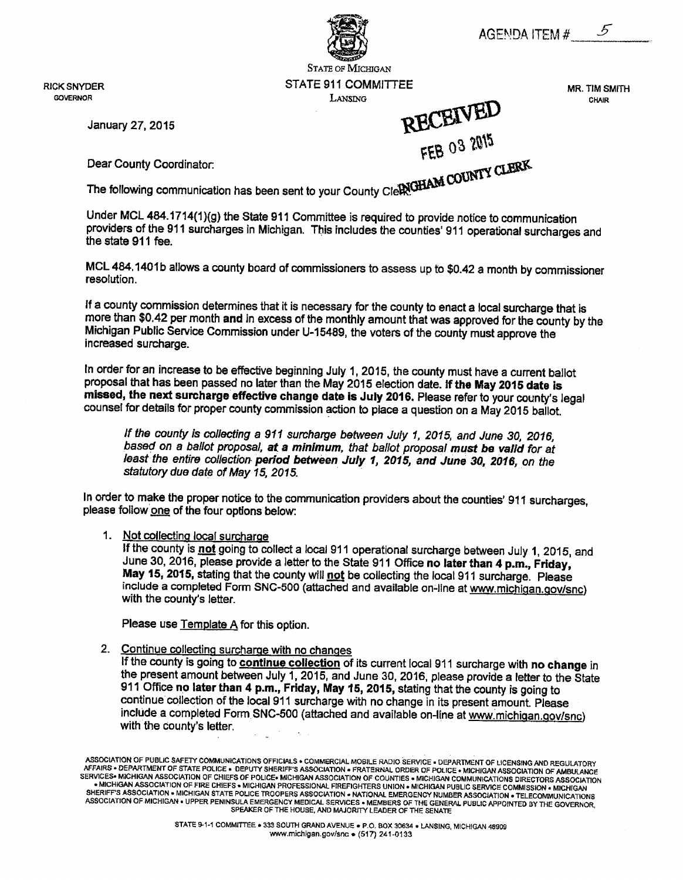

FEB 03 2015

**RICK SNYDER GOVERNOR** 

**STATE OF MICHIGAN** STATE 911 COMMITTEE LANSING RECEIVED

January 27, 2015

The following communication has been sent to your County CleRIGHAM COUNTY CLERK

Under MCL 484.1714(1)(g) the State 911 Committee is required to provide notice to communication providers of the 911 surcharges in Michigan. This includes the counties' 911 operational surcharges and the state 911 fee.

MCL 484.1401b allows a county board of commissioners to assess up to \$0.42 a month by commissioner resolution.

If a county commission determines that it is necessary for the county to enact a local surcharge that is more than \$0.42 per month and in excess of the monthly amount that was approved for the county by the Michigan Public Service Commission under U-15489, the voters of the county must approve the increased surcharge.

In order for an increase to be effective beginning July 1, 2015, the county must have a current ballot proposal that has been passed no later than the May 2015 election date. If the May 2015 date is missed, the next surcharge effective change date is July 2016. Please refer to your county's legal counsel for details for proper county commission action to place a question on a May 2015 ballot.

If the county is collecting a 911 surcharge between July 1, 2015, and June 30, 2016. based on a ballot proposal, at a minimum, that ballot proposal must be valid for at least the entire collection period between July 1, 2015, and June 30, 2016, on the statutory due date of May 15, 2015.

In order to make the proper notice to the communication providers about the counties' 911 surcharges. please follow one of the four options below:

1. Not collecting local surcharge

If the county is not going to collect a local 911 operational surcharge between July 1, 2015, and June 30, 2016, please provide a letter to the State 911 Office no later than 4 p.m., Friday, May 15, 2015, stating that the county will not be collecting the local 911 surcharge. Please include a completed Form SNC-500 (attached and available on-line at www.michigan.gov/snc) with the county's letter.

Please use Template A for this option.

2. Continue collecting surcharge with no changes

If the county is going to continue collection of its current local 911 surcharge with no change in the present amount between July 1, 2015, and June 30, 2016, please provide a letter to the State 911 Office no later than 4 p.m., Friday, May 15, 2015, stating that the county is going to continue collection of the local 911 surcharge with no change in its present amount. Please include a completed Form SNC-500 (attached and available on-line at www.michigan.gov/snc) with the county's letter.

ASSOCIATION OF PUBLIC SAFETY COMMUNICATIONS OFFICIALS . COMMERCIAL MOBILE RADIO SERVICE . DEPARTMENT OF LICENSING AND REGULATORY ACCOMPANY OF STATE POLICE . DEPUTY SHERIFF'S ASSOCIATION . FRATERNAL ORDER OF POLICE . MICHIGAN ASSOCIATION THE ART AND MESSICAL ORDER OF STATE POLICE . DEPUTY SHERIFF'S ASSOCIATION . FRATERNAL ORDER OF POLICE . MICHIGAN A . MICHIGAN ASSOCIATION OF FIRE CHIEFS . MICHIGAN PROFESSIONAL FIREFIGHTERS UNION . MICHIGAN PUBLIC SERVICE COMMISSION . MICHIGAN SHERIFF'S ASSOCIATION • MICHIGAN STATE POLICE TROOPERS ASSOCIATION • NATIONAL EMERGENCY NUMBER ASSOCIATION • TELECOMMUNICATIONS ASSOCIATION OF MICHIGAN • UPPER PENINSULA EMERGENCY MEDICAL SERVICES • MEMBERS OF THE GENERAL PUBLIC APPOINTED BY THE GOVERNOR, SPEAKER OF THE HOUSE, AND MAJORITY LEADER OF THE SENATE

MR. TIM SMITH CHAIR

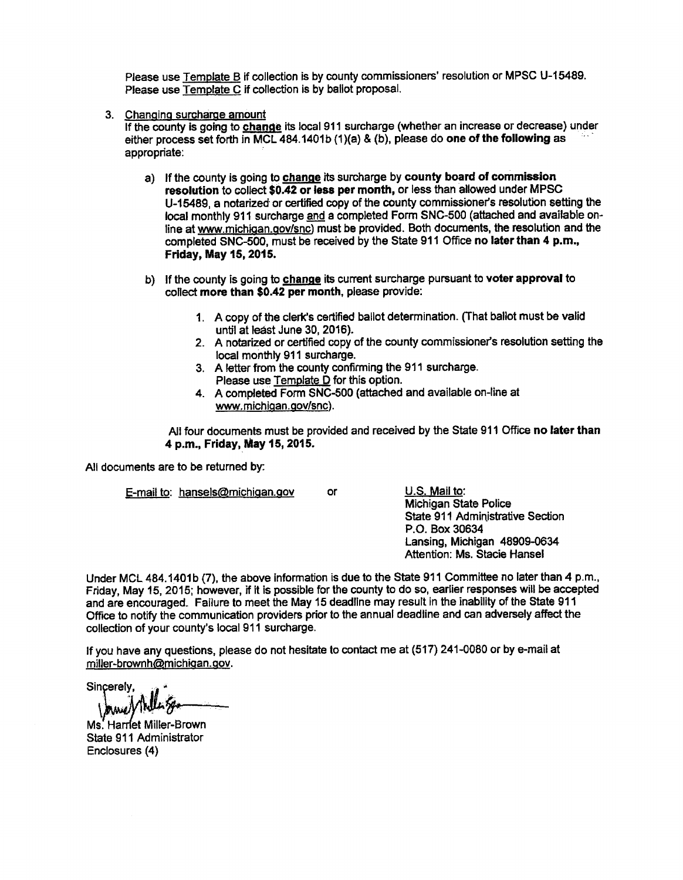Please use Template B if collection is by county commissioners' resolution or MPSC U-15489. Please use Template C if collection is by ballot proposal.

3. Changing surcharge amount

If the county is going to change its local 911 surcharge (whether an increase or decrease) under either process set forth in MCL 484.1401b (1)(a) & (b), please do one of the following as appropriate:

- a) If the county is going to change its surcharge by county board of commission resolution to collect \$0.42 or less per month, or less than allowed under MPSC U-15489, a notarized or certified copy of the county commissioner's resolution setting the local monthly 911 surcharge and a completed Form SNC-500 (attached and available online at www.michigan.gov/snc) must be provided. Both documents, the resolution and the completed SNC-500, must be received by the State 911 Office no later than 4 p.m., **Friday, May 15, 2015.**
- b) If the county is going to change its current surcharge pursuant to voter approval to collect more than \$0.42 per month, please provide:
	- 1. A copy of the clerk's certified ballot determination. (That ballot must be valid until at least June 30, 2016).
	- 2. A notarized or certified copy of the county commissioner's resolution setting the local monthly 911 surcharge.
	- 3. A letter from the county confirming the 911 surcharge. Please use Template D for this option.

or

4. A completed Form SNC-500 (attached and available on-line at www.michigan.gov/snc).

All four documents must be provided and received by the State 911 Office no later than 4 p.m., Friday, May 15, 2015.

All documents are to be returned by:

E-mail to: hansels@michigan.gov

U.S. Mail to: **Michigan State Police** State 911 Administrative Section P.O. Box 30634 Lansing, Michigan 48909-0634 Attention: Ms. Stacie Hansel

Under MCL 484.1401b (7), the above information is due to the State 911 Committee no later than 4 p.m., Friday. May 15, 2015; however, if it is possible for the county to do so, earlier responses will be accepted and are encouraged. Failure to meet the May 15 deadline may result in the inability of the State 911 Office to notify the communication providers prior to the annual deadline and can adversely affect the collection of your county's local 911 surcharge.

If you have any questions, please do not hesitate to contact me at (517) 241-0080 or by e-mail at miller-brownh@michigan.gov.

Sincerely,

Ms. Harriet Miller-Brown State 911 Administrator Enclosures (4)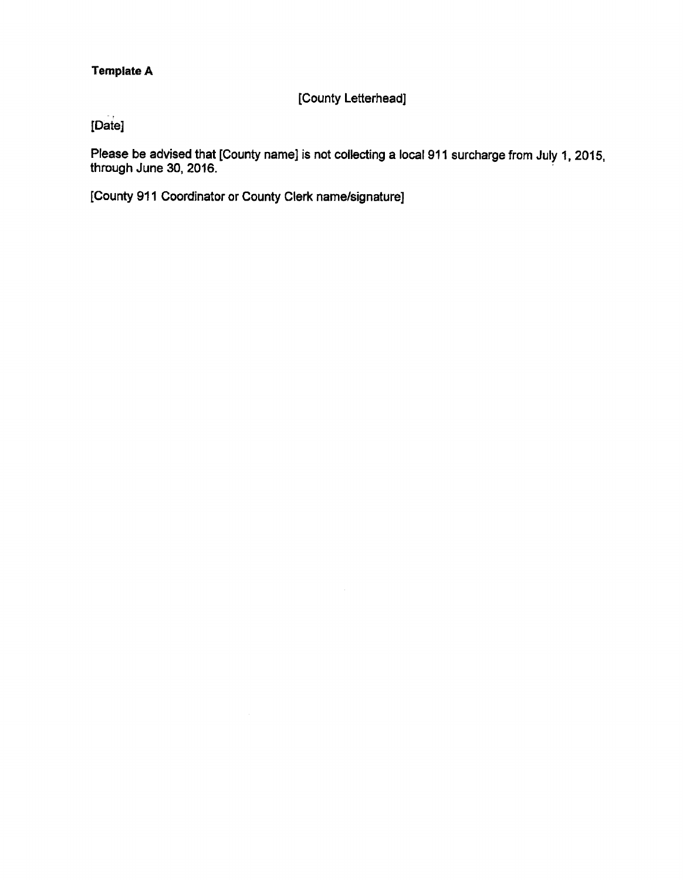## **Template A**

[County Letterhead]

[Date]

Please be advised that [County name] is not collecting a local 911 surcharge from July 1, 2015, through June 30, 2016.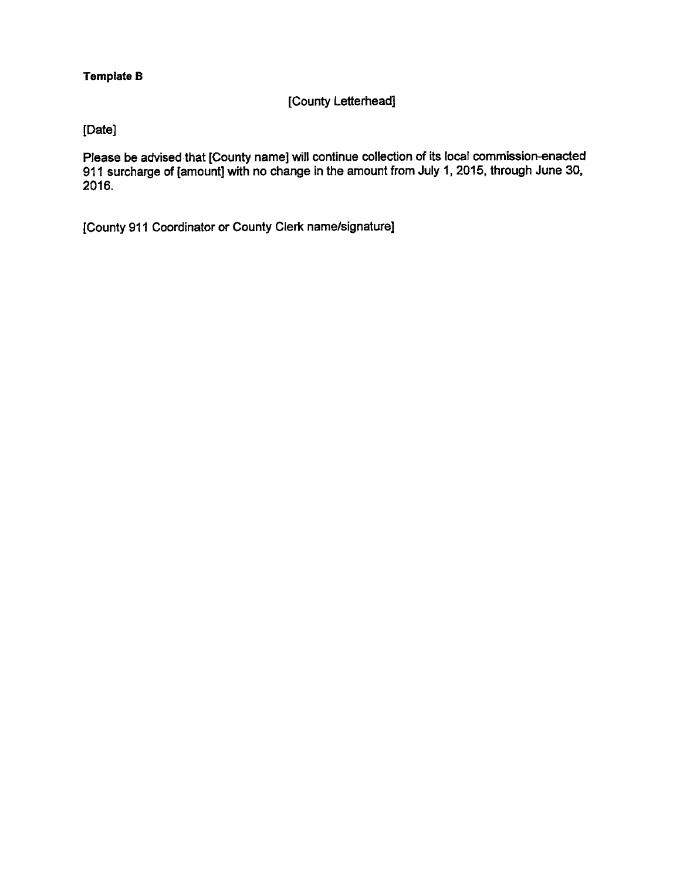#### **Template B**

#### [County Letterhead]

### [Date]

Please be advised that [County name] will continue collection of its local commission-enacted 911 surcharge of [amount] with no change in the amount from July 1, 2015, through June 30, 2016.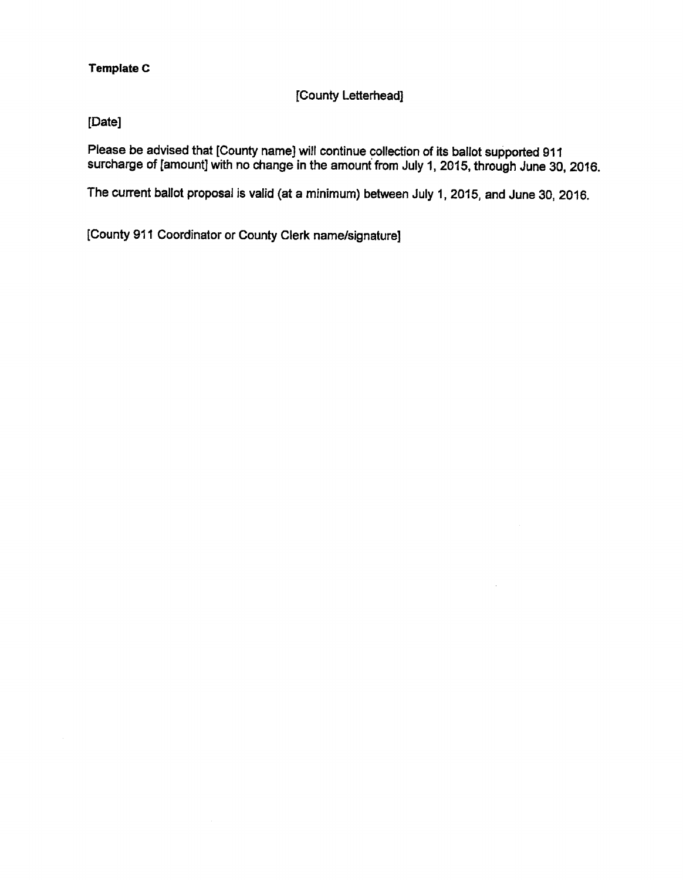#### **Template C**

### [County Letterhead]

[Date]

Please be advised that [County name] will continue collection of its ballot supported 911 surcharge of [amount] with no change in the amount from July 1, 2015, through June 30, 2016.

The current ballot proposal is valid (at a minimum) between July 1, 2015, and June 30, 2016.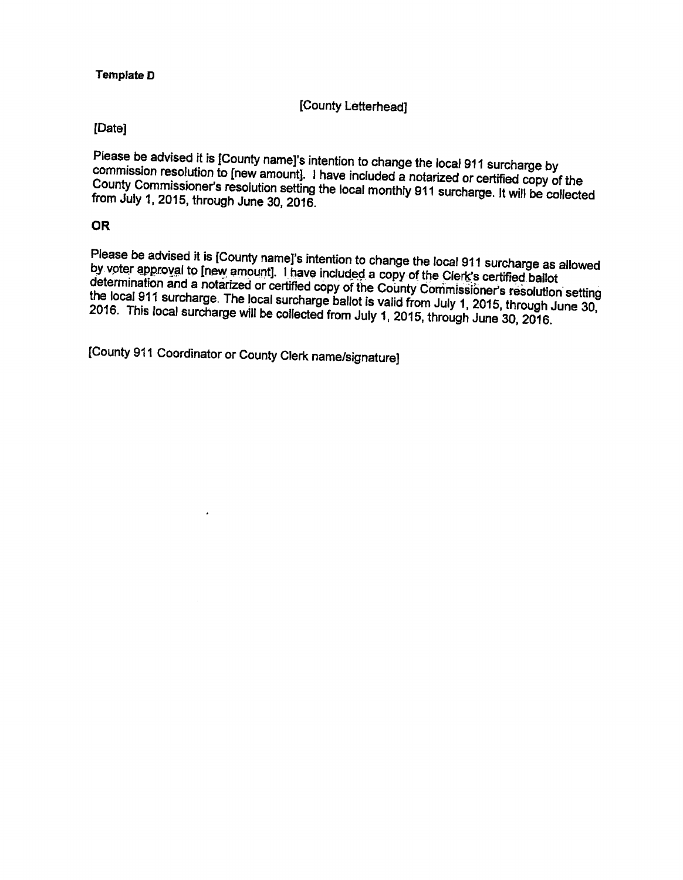#### **Template D**

#### [County Letterhead]

#### [Date]

Please be advised it is [County name]'s intention to change the local 911 surcharge by commission resolution to [new amount]. I have included a notarized or certified copy of the County Commissioner's resolution setting the local monthly 911 surcharge. It will be collected from July 1, 2015, through June 30, 2016.

#### **OR**

Please be advised it is [County name]'s intention to change the local 911 surcharge as allowed by voter approval to [new amount]. I have included a copy of the Clerk's certified ballot determination and a notarized or certified copy of the County Commissioner's resolution setting the local 911 surcharge. The local surcharge ballot is valid from July 1, 2015, through June 30, 2016. This local surcharge will be collected from July 1, 2015, through June 30, 2016.